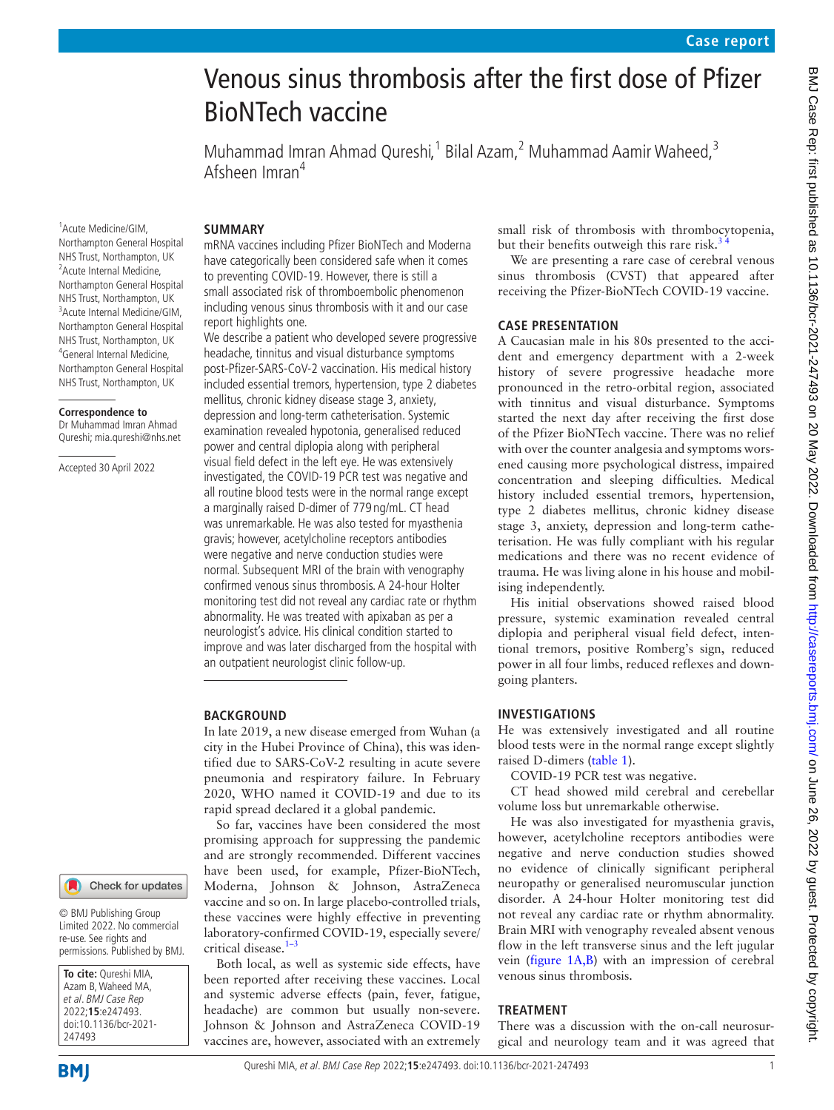# Venous sinus thrombosis after the first dose of Pfizer BioNTech vaccine

Muhammad Imran Ahmad Qureshi,<sup>1</sup> Bilal Azam,<sup>2</sup> Muhammad Aamir Waheed,<sup>3</sup> Afsheen Imran<sup>4</sup>

#### **SUMMARY**

1 Acute Medicine/GIM, Northampton General Hospital NHS Trust, Northampton, UK <sup>2</sup> Acute Internal Medicine, Northampton General Hospital NHS Trust, Northampton, UK 3 Acute Internal Medicine/GIM, Northampton General Hospital NHS Trust, Northampton, UK 4 General Internal Medicine, Northampton General Hospital NHS Trust, Northampton, UK

#### **Correspondence to**

Dr Muhammad Imran Ahmad Qureshi; mia.qureshi@nhs.net

Accepted 30 April 2022

#### Check for updates

© BMJ Publishing Group Limited 2022. No commercial re-use. See rights and permissions. Published by BMJ.

**To cite:** Qureshi MIA, Azam B, Waheed MA, et al. BMJ Case Rep 2022;**15**:e247493. doi:10.1136/bcr-2021- 247493

**BMI** 

## mRNA vaccines including Pfizer BioNTech and Moderna have categorically been considered safe when it comes to preventing COVID-19. However, there is still a small associated risk of thromboembolic phenomenon including venous sinus thrombosis with it and our case report highlights one.

We describe a patient who developed severe progressive headache, tinnitus and visual disturbance symptoms post-Pfizer-SARS-CoV-2 vaccination. His medical history included essential tremors, hypertension, type 2 diabetes mellitus, chronic kidney disease stage 3, anxiety, depression and long-term catheterisation. Systemic examination revealed hypotonia, generalised reduced power and central diplopia along with peripheral visual field defect in the left eye. He was extensively investigated, the COVID-19 PCR test was negative and all routine blood tests were in the normal range except a marginally raised D-dimer of 779 ng/mL. CT head was unremarkable. He was also tested for myasthenia gravis; however, acetylcholine receptors antibodies were negative and nerve conduction studies were normal. Subsequent MRI of the brain with venography confirmed venous sinus thrombosis. A 24-hour Holter monitoring test did not reveal any cardiac rate or rhythm abnormality. He was treated with apixaban as per a neurologist's advice. His clinical condition started to improve and was later discharged from the hospital with an outpatient neurologist clinic follow-up.

#### **BACKGROUND**

In late 2019, a new disease emerged from Wuhan (a city in the Hubei Province of China), this was identified due to SARS-CoV-2 resulting in acute severe pneumonia and respiratory failure. In February 2020, WHO named it COVID-19 and due to its rapid spread declared it a global pandemic.

So far, vaccines have been considered the most promising approach for suppressing the pandemic and are strongly recommended. Different vaccines have been used, for example, Pfizer-BioNTech, Moderna, Johnson & Johnson, AstraZeneca vaccine and so on. In large placebo-controlled trials, these vaccines were highly effective in preventing laboratory-confirmed COVID-19, especially severe/ critical disease.[1–3](#page-2-0)

Both local, as well as systemic side effects, have been reported after receiving these vaccines. Local and systemic adverse effects (pain, fever, fatigue, headache) are common but usually non-severe. Johnson & Johnson and AstraZeneca COVID-19 vaccines are, however, associated with an extremely

small risk of thrombosis with thrombocytopenia, but their benefits outweigh this rare risk.<sup>3</sup>

We are presenting a rare case of cerebral venous sinus thrombosis (CVST) that appeared after receiving the Pfizer-BioNTech COVID-19 vaccine.

### **CASE PRESENTATION**

A Caucasian male in his 80s presented to the accident and emergency department with a 2-week history of severe progressive headache more pronounced in the retro-orbital region, associated with tinnitus and visual disturbance. Symptoms started the next day after receiving the first dose of the Pfizer BioNTech vaccine. There was no relief with over the counter analgesia and symptoms worsened causing more psychological distress, impaired concentration and sleeping difficulties. Medical history included essential tremors, hypertension, type 2 diabetes mellitus, chronic kidney disease stage 3, anxiety, depression and long-term catheterisation. He was fully compliant with his regular medications and there was no recent evidence of trauma. He was living alone in his house and mobilising independently.

His initial observations showed raised blood pressure, systemic examination revealed central diplopia and peripheral visual field defect, intentional tremors, positive Romberg's sign, reduced power in all four limbs, reduced reflexes and downgoing planters.

## **INVESTIGATIONS**

He was extensively investigated and all routine blood tests were in the normal range except slightly raised D-dimers ([table](#page-1-0) 1).

COVID-19 PCR test was negative.

CT head showed mild cerebral and cerebellar volume loss but unremarkable otherwise.

He was also investigated for myasthenia gravis, however, acetylcholine receptors antibodies were negative and nerve conduction studies showed no evidence of clinically significant peripheral neuropathy or generalised neuromuscular junction disorder. A 24-hour Holter monitoring test did not reveal any cardiac rate or rhythm abnormality. Brain MRI with venography revealed absent venous flow in the left transverse sinus and the left jugular vein ([figure](#page-1-1) 1A,B) with an impression of cerebral venous sinus thrombosis.

## **TREATMENT**

There was a discussion with the on-call neurosurgical and neurology team and it was agreed that

# Qureshi MIA, et al. BMJ Case Rep 2022;**15**:e247493. doi:10.1136/bcr-2021-247493 1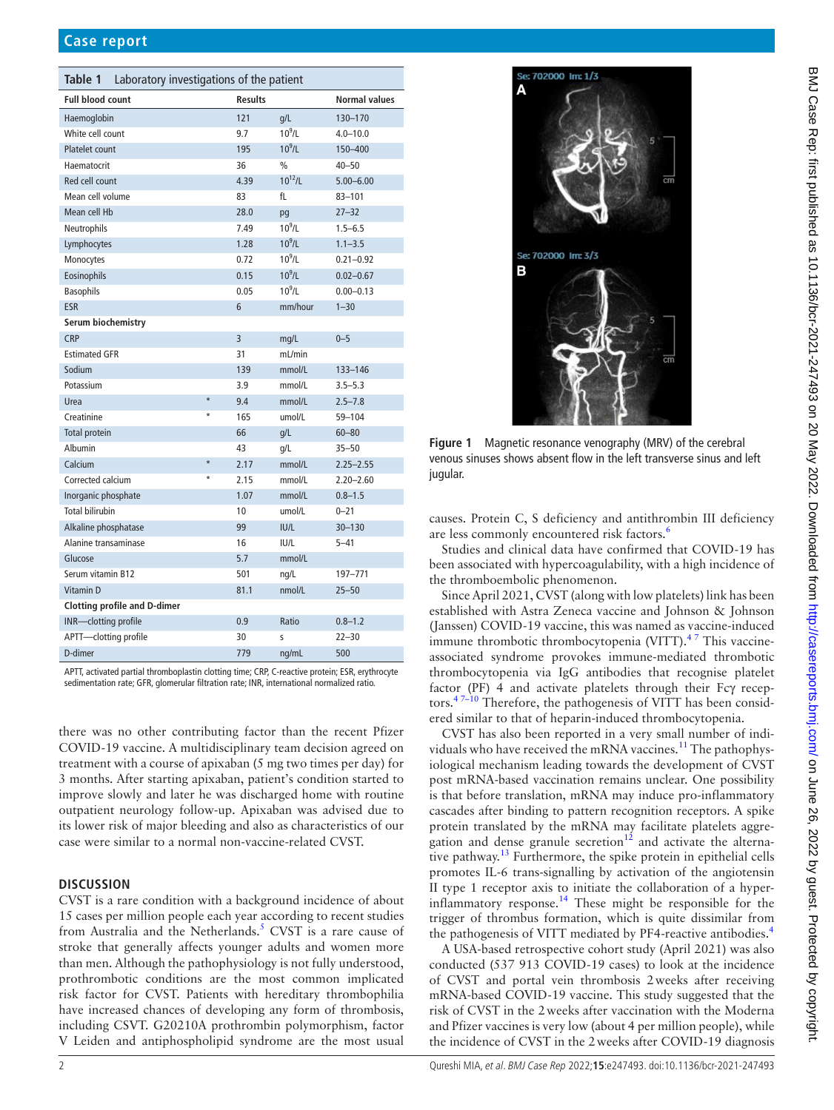<span id="page-1-0"></span>

| Table 1                             | Laboratory investigations of the patient |                |                    |                      |  |
|-------------------------------------|------------------------------------------|----------------|--------------------|----------------------|--|
| <b>Full blood count</b>             |                                          | <b>Results</b> |                    | <b>Normal values</b> |  |
| Haemoglobin                         |                                          | 121            | q/L                | 130-170              |  |
| White cell count                    |                                          | 9.7            | $10^9$ /l          | $4.0 - 10.0$         |  |
| Platelet count                      |                                          | 195            | $10^9$ /l          | 150-400              |  |
| Haematocrit                         |                                          | 36             | $\frac{0}{0}$      | $40 - 50$            |  |
| Red cell count                      |                                          | 4.39           | $10^{12}$ /L       | $5.00 - 6.00$        |  |
| Mean cell volume                    |                                          | 83             | fL                 | $83 - 101$           |  |
| Mean cell Hb                        |                                          | 28.0           | pg                 | $27 - 32$            |  |
| Neutrophils                         |                                          | 7.49           | $10^{9}$ /l        | $1.5 - 6.5$          |  |
| Lymphocytes                         |                                          | 1.28           | 10 <sup>9</sup> /L | $1.1 - 3.5$          |  |
| Monocytes                           |                                          | 0.72           | $10^9$ /L          | $0.21 - 0.92$        |  |
| Eosinophils                         |                                          | 0.15           | 10 <sup>9</sup> /L | $0.02 - 0.67$        |  |
| <b>Basophils</b>                    |                                          | 0.05           | $10^{9}$ /I        | $0.00 - 0.13$        |  |
| <b>ESR</b>                          |                                          | 6              | mm/hour            | $1 - 30$             |  |
| Serum biochemistry                  |                                          |                |                    |                      |  |
| <b>CRP</b>                          |                                          | 3              | mg/L               | $0 - 5$              |  |
| <b>Estimated GFR</b>                |                                          | 31             | mL/min             |                      |  |
| Sodium                              |                                          | 139            | mmol/L             | 133-146              |  |
| Potassium                           |                                          | 3.9            | mmol/L             | $3.5 - 5.3$          |  |
| $\star$<br>Urea                     |                                          | 9.4            | mmol/L             | $2.5 - 7.8$          |  |
| Creatinine                          |                                          | 165            | umol/L             | 59-104               |  |
| Total protein                       |                                          | 66             | q/L                | $60 - 80$            |  |
| Albumin                             |                                          | 43             | q/L                | $35 - 50$            |  |
| $\star$<br>Calcium                  |                                          | 2.17           | mmol/L             | $2.25 - 2.55$        |  |
| $\star$<br>Corrected calcium        |                                          | 2.15           | mmol/L             | $2.20 - 2.60$        |  |
| Inorganic phosphate                 |                                          | 1.07           | mmol/L             | $0.8 - 1.5$          |  |
| <b>Total bilirubin</b>              |                                          | 10             | llomni             | $0 - 21$             |  |
| Alkaline phosphatase                |                                          | 99             | IUI/L              | $30 - 130$           |  |
| Alanine transaminase                |                                          | 16             | IUI/L              | $5 - 41$             |  |
| Glucose                             |                                          | 5.7            | mmol/L             |                      |  |
| Serum vitamin B12                   |                                          | 501            | ng/L               | 197-771              |  |
| Vitamin D                           |                                          | 81.1           | nmol/L             | $25 - 50$            |  |
| <b>Clotting profile and D-dimer</b> |                                          |                |                    |                      |  |
| INR-clotting profile                |                                          | 0.9            | Ratio              | $0.8 - 1.2$          |  |
| APTT-clotting profile               |                                          | 30             | s                  | $22 - 30$            |  |
| D-dimer                             |                                          | 779            | ng/mL              | 500                  |  |

APTT, activated partial thromboplastin clotting time; CRP, C-reactive protein; ESR, erythrocyte sedimentation rate; GFR, glomerular filtration rate; INR, international normalized ratio.

there was no other contributing factor than the recent Pfizer COVID-19 vaccine. A multidisciplinary team decision agreed on treatment with a course of apixaban (5 mg two times per day) for 3 months. After starting apixaban, patient's condition started to improve slowly and later he was discharged home with routine outpatient neurology follow-up. Apixaban was advised due to its lower risk of major bleeding and also as characteristics of our case were similar to a normal non-vaccine-related CVST.

## **DISCUSSION**

CVST is a rare condition with a background incidence of about 15 cases per million people each year according to recent studies from Australia and the Netherlands.<sup>[5](#page-2-2)</sup> CVST is a rare cause of stroke that generally affects younger adults and women more than men. Although the pathophysiology is not fully understood, prothrombotic conditions are the most common implicated risk factor for CVST. Patients with hereditary thrombophilia have increased chances of developing any form of thrombosis, including CSVT. G20210A prothrombin polymorphism, factor V Leiden and antiphospholipid syndrome are the most usual

Se: 702000 lm: 1/3 Se: 702000 Im: 3/3

Δ

<span id="page-1-1"></span>B

**Figure 1** Magnetic resonance venography (MRV) of the cerebral venous sinuses shows absent flow in the left transverse sinus and left jugular.

causes. Protein C, S deficiency and antithrombin III deficiency are less commonly encountered risk factors.<sup>[6](#page-2-3)</sup>

Studies and clinical data have confirmed that COVID-19 has been associated with hypercoagulability, with a high incidence of the thromboembolic phenomenon.

Since April 2021, CVST (along with low platelets) link has been established with Astra Zeneca vaccine and Johnson & Johnson (Janssen) COVID-19 vaccine, this was named as vaccine-induced immune thrombotic thrombocytopenia (VITT).<sup>47</sup> This vaccineassociated syndrome provokes immune-mediated thrombotic thrombocytopenia via IgG antibodies that recognise platelet factor (PF) 4 and activate platelets through their Fcγ receptors.[4 7–10](#page-2-4) Therefore, the pathogenesis of VITT has been considered similar to that of heparin-induced thrombocytopenia.

CVST has also been reported in a very small number of indi-viduals who have received the mRNA vaccines.<sup>[11](#page-2-5)</sup> The pathophysiological mechanism leading towards the development of CVST post mRNA-based vaccination remains unclear. One possibility is that before translation, mRNA may induce pro-inflammatory cascades after binding to pattern recognition receptors. A spike protein translated by the mRNA may facilitate platelets aggre-gation and dense granule secretion<sup>[12](#page-2-6)</sup> and activate the alternative pathway[.13](#page-2-7) Furthermore, the spike protein in epithelial cells promotes IL-6 trans-signalling by activation of the angiotensin II type 1 receptor axis to initiate the collaboration of a hyperinflammatory response.<sup>14</sup> These might be responsible for the trigger of thrombus formation, which is quite dissimilar from the pathogenesis of VITT mediated by PF4-reactive antibodies.<sup>4</sup>

A USA-based retrospective cohort study (April 2021) was also conducted (537 913 COVID-19 cases) to look at the incidence of CVST and portal vein thrombosis 2weeks after receiving mRNA-based COVID-19 vaccine. This study suggested that the risk of CVST in the 2weeks after vaccination with the Moderna and Pfizer vaccines is very low (about 4 per million people), while the incidence of CVST in the 2weeks after COVID-19 diagnosis